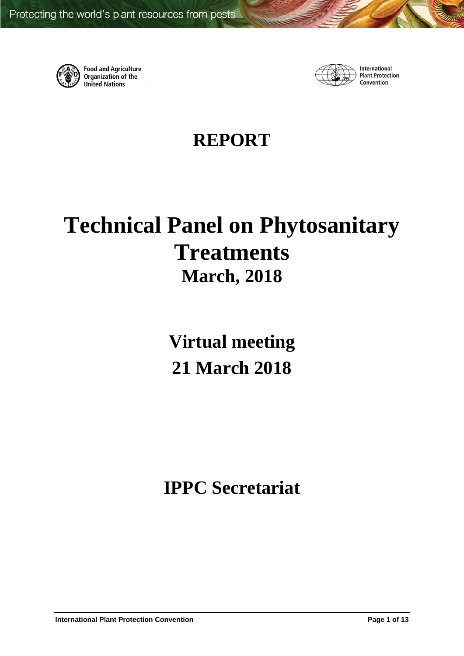

**Food and Agriculture**<br>Organization of the **United Nations** 



International **Plant Protection** Convention

# **REPORT**

# **Technical Panel on Phytosanitary Treatments March, 2018**

**Virtual meeting 21 March 2018**

**IPPC Secretariat**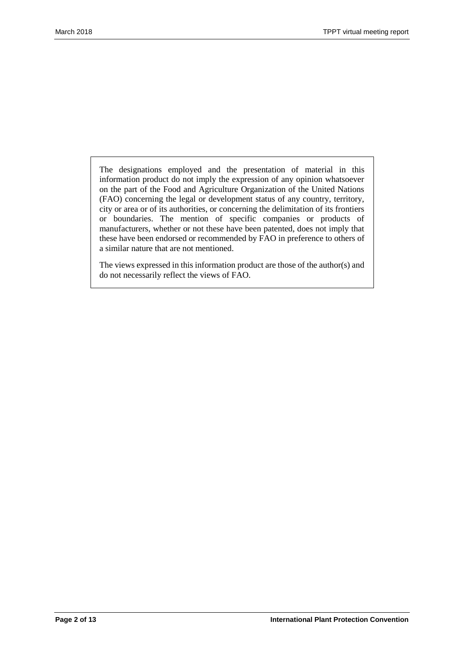The designations employed and the presentation of material in this information product do not imply the expression of any opinion whatsoever on the part of the Food and Agriculture Organization of the United Nations (FAO) concerning the legal or development status of any country, territory, city or area or of its authorities, or concerning the delimitation of its frontiers or boundaries. The mention of specific companies or products of manufacturers, whether or not these have been patented, does not imply that these have been endorsed or recommended by FAO in preference to others of a similar nature that are not mentioned.

The views expressed in this information product are those of the author(s) and do not necessarily reflect the views of FAO.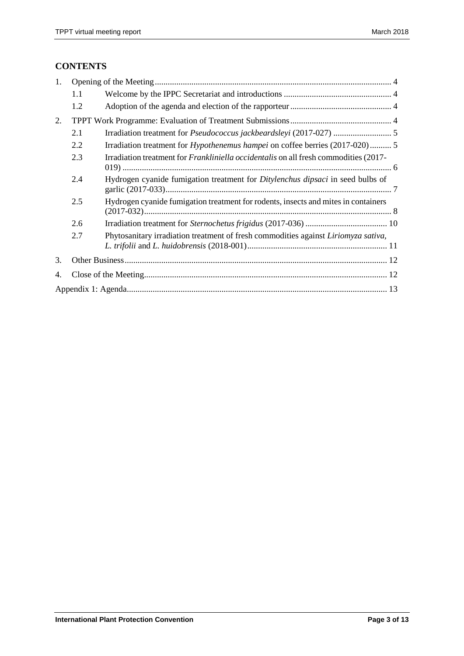# **CONTENTS**

| 1. |         |                                                                                             |  |  |
|----|---------|---------------------------------------------------------------------------------------------|--|--|
|    | $1.1\,$ |                                                                                             |  |  |
|    | 1.2     |                                                                                             |  |  |
| 2. |         |                                                                                             |  |  |
|    | 2.1     |                                                                                             |  |  |
|    | 2.2     | Irradiation treatment for <i>Hypothenemus hampei</i> on coffee berries (2017-020) 5         |  |  |
|    | 2.3     | Irradiation treatment for <i>Frankliniella occidentalis</i> on all fresh commodities (2017- |  |  |
|    | 2.4     | Hydrogen cyanide fumigation treatment for <i>Ditylenchus dipsaci</i> in seed bulbs of       |  |  |
|    | 2.5     | Hydrogen cyanide fumigation treatment for rodents, insects and mites in containers          |  |  |
|    | 2.6     |                                                                                             |  |  |
|    | 2.7     | Phytosanitary irradiation treatment of fresh commodities against Liriomyza sativa,          |  |  |
| 3. |         |                                                                                             |  |  |
| 4. |         |                                                                                             |  |  |
|    |         |                                                                                             |  |  |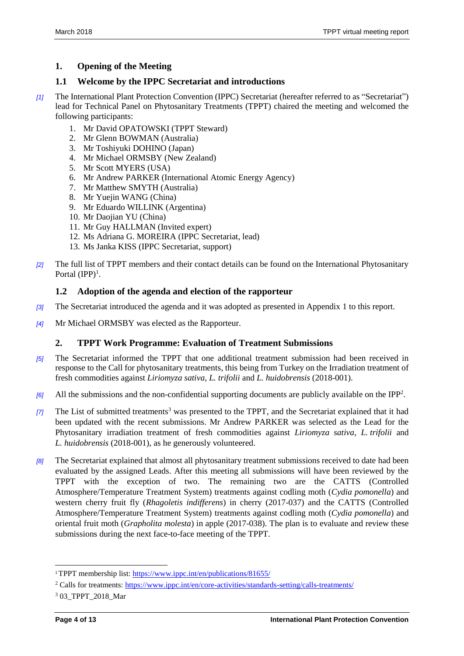# <span id="page-3-0"></span>**1. Opening of the Meeting**

### <span id="page-3-1"></span>**1.1 Welcome by the IPPC Secretariat and introductions**

- *[1]* The International Plant Protection Convention (IPPC) Secretariat (hereafter referred to as "Secretariat") lead for Technical Panel on Phytosanitary Treatments (TPPT) chaired the meeting and welcomed the following participants:
	- 1. Mr David OPATOWSKI (TPPT Steward)
	- 2. Mr Glenn BOWMAN (Australia)
	- 3. Mr Toshiyuki DOHINO (Japan)
	- 4. Mr Michael ORMSBY (New Zealand)
	- 5. Mr Scott MYERS (USA)
	- 6. Mr Andrew PARKER (International Atomic Energy Agency)
	- 7. Mr Matthew SMYTH (Australia)
	- 8. Mr Yuejin WANG (China)
	- 9. Mr Eduardo WILLINK (Argentina)
	- 10. Mr Daojian YU (China)
	- 11. Mr Guy HALLMAN (Invited expert)
	- 12. Ms Adriana G. MOREIRA (IPPC Secretariat, lead)
	- 13. Ms Janka KISS (IPPC Secretariat, support)
- *[2]* The full list of TPPT members and their contact details can be found on the International Phytosanitary Portal  $(IPP)^1$ .

#### <span id="page-3-2"></span>**1.2 Adoption of the agenda and election of the rapporteur**

- *[3]* The Secretariat introduced the agenda and it was adopted as presented in Appendix 1 to this report.
- *[4]* Mr Michael ORMSBY was elected as the Rapporteur.

# <span id="page-3-3"></span>**2. TPPT Work Programme: Evaluation of Treatment Submissions**

- *[5]* The Secretariat informed the TPPT that one additional treatment submission had been received in response to the Call for phytosanitary treatments, this being from Turkey on the Irradiation treatment of fresh commodities against *Liriomyza sativa*, *L. trifolii* and *L. huidobrensis* (2018-001).
- [6] All the submissions and the non-confidential supporting documents are publicly available on the IPP<sup>2</sup>.
- *[7]* The List of submitted treatments<sup>3</sup> was presented to the TPPT, and the Secretariat explained that it had been updated with the recent submissions. Mr Andrew PARKER was selected as the Lead for the Phytosanitary irradiation treatment of fresh commodities against *Liriomyza sativa*, *L. trifolii* and *L. huidobrensis* (2018-001), as he generously volunteered.
- *[8]* The Secretariat explained that almost all phytosanitary treatment submissions received to date had been evaluated by the assigned Leads. After this meeting all submissions will have been reviewed by the TPPT with the exception of two. The remaining two are the CATTS (Controlled Atmosphere/Temperature Treatment System) treatments against codling moth (*Cydia pomonella*) and western cherry fruit fly (*Rhagoletis indifferens*) in cherry (2017-037) and the CATTS (Controlled Atmosphere/Temperature Treatment System) treatments against codling moth (*Cydia pomonella*) and oriental fruit moth (*Grapholita molesta*) in apple (2017-038). The plan is to evaluate and review these submissions during the next face-to-face meeting of the TPPT.

l

<sup>1</sup>TPPT membership list:<https://www.ippc.int/en/publications/81655/>

<sup>&</sup>lt;sup>2</sup> Calls for treatments:<https://www.ippc.int/en/core-activities/standards-setting/calls-treatments/>

<sup>3</sup> 03\_TPPT\_2018\_Mar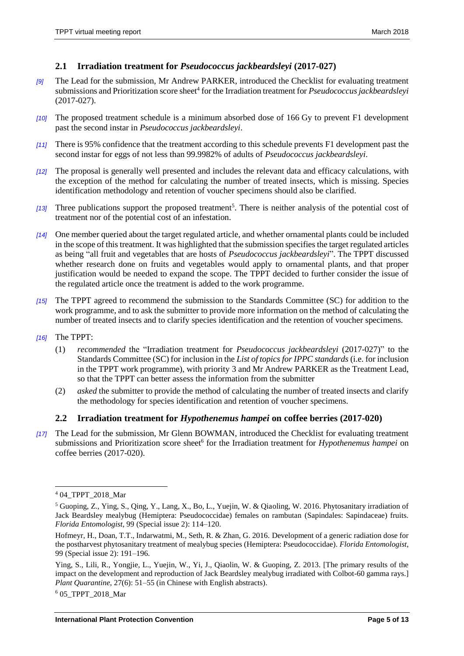#### <span id="page-4-0"></span>**2.1 Irradiation treatment for** *Pseudococcus jackbeardsleyi* **(2017-027)**

- *[9]* The Lead for the submission, Mr Andrew PARKER, introduced the Checklist for evaluating treatment submissions and Prioritization score sheet<sup>4</sup> for the Irradiation treatment for *Pseudococcus jackbeardsleyi* (2017-027).
- *[10]* The proposed treatment schedule is a minimum absorbed dose of 166 Gy to prevent F1 development past the second instar in *Pseudococcus jackbeardsleyi*.
- *[11]* There is 95% confidence that the treatment according to this schedule prevents F1 development past the second instar for eggs of not less than 99.9982% of adults of *Pseudococcus jackbeardsleyi*.
- *[12]* The proposal is generally well presented and includes the relevant data and efficacy calculations, with the exception of the method for calculating the number of treated insects, which is missing. Species identification methodology and retention of voucher specimens should also be clarified.
- [13] Three publications support the proposed treatment<sup>5</sup>. There is neither analysis of the potential cost of treatment nor of the potential cost of an infestation.
- *[14]* One member queried about the target regulated article, and whether ornamental plants could be included in the scope of this treatment. It was highlighted that the submission specifies the target regulated articles as being "all fruit and vegetables that are hosts of *Pseudococcus jackbeardsleyi*". The TPPT discussed whether research done on fruits and vegetables would apply to ornamental plants, and that proper justification would be needed to expand the scope. The TPPT decided to further consider the issue of the regulated article once the treatment is added to the work programme.
- *[15]* The TPPT agreed to recommend the submission to the Standards Committee (SC) for addition to the work programme, and to ask the submitter to provide more information on the method of calculating the number of treated insects and to clarify species identification and the retention of voucher specimens.
- *[16]* The TPPT:
	- (1) *recommended* the "Irradiation treatment for *Pseudococcus jackbeardsleyi* (2017-027)" to the Standards Committee (SC) for inclusion in the *List of topics for IPPC standards* (i.e. for inclusion in the TPPT work programme), with priority 3 and Mr Andrew PARKER as the Treatment Lead, so that the TPPT can better assess the information from the submitter
	- (2) *asked* the submitter to provide the method of calculating the number of treated insects and clarify the methodology for species identification and retention of voucher specimens.

#### <span id="page-4-1"></span>**2.2 Irradiation treatment for** *Hypothenemus hampei* **on coffee berries (2017-020)**

*[17]* The Lead for the submission, Mr Glenn BOWMAN, introduced the Checklist for evaluating treatment submissions and Prioritization score sheet<sup>6</sup> for the Irradiation treatment for *Hypothenemus hampei* on coffee berries (2017-020).

 $\overline{a}$ 

<sup>6</sup> 05\_TPPT\_2018\_Mar

<sup>4</sup> 04\_TPPT\_2018\_Mar

<sup>5</sup> Guoping, Z., Ying, S., Qing, Y., Lang, X., Bo, L., Yuejin, W. & Qiaoling, W. 2016. Phytosanitary irradiation of Jack Beardsley mealybug (Hemiptera: Pseudococcidae) females on rambutan (Sapindales: Sapindaceae) fruits. *Florida Entomologist*, 99 (Special issue 2): 114–120.

Hofmeyr, H., Doan, T.T., Indarwatmi, M., Seth, R. & Zhan, G. 2016. Development of a generic radiation dose for the postharvest phytosanitary treatment of mealybug species (Hemiptera: Pseudococcidae). *Florida Entomologist*, 99 (Special issue 2): 191–196.

Ying, S., Lili, R., Yongjie, L., Yuejin, W., Yi, J., Qiaolin, W. & Guoping, Z. 2013. [The primary results of the impact on the development and reproduction of Jack Beardsley mealybug irradiated with Colbot-60 gamma rays.] *Plant Quarantine*, 27(6): 51–55 (in Chinese with English abstracts).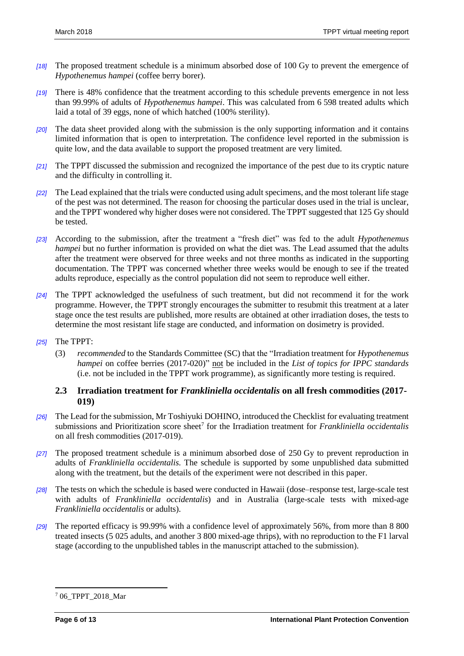- *[18]* The proposed treatment schedule is a minimum absorbed dose of 100 Gy to prevent the emergence of *Hypothenemus hampei* (coffee berry borer).
- *[19]* There is 48% confidence that the treatment according to this schedule prevents emergence in not less than 99.99% of adults of *Hypothenemus hampei*. This was calculated from 6 598 treated adults which laid a total of 39 eggs, none of which hatched (100% sterility).
- *[20]* The data sheet provided along with the submission is the only supporting information and it contains limited information that is open to interpretation. The confidence level reported in the submission is quite low, and the data available to support the proposed treatment are very limited.
- *[21]* The TPPT discussed the submission and recognized the importance of the pest due to its cryptic nature and the difficulty in controlling it.
- *[22]* The Lead explained that the trials were conducted using adult specimens, and the most tolerant life stage of the pest was not determined. The reason for choosing the particular doses used in the trial is unclear, and the TPPT wondered why higher doses were not considered. The TPPT suggested that 125 Gy should be tested.
- *[23]* According to the submission, after the treatment a "fresh diet" was fed to the adult *Hypothenemus hampei* but no further information is provided on what the diet was. The Lead assumed that the adults after the treatment were observed for three weeks and not three months as indicated in the supporting documentation. The TPPT was concerned whether three weeks would be enough to see if the treated adults reproduce, especially as the control population did not seem to reproduce well either.
- *[24]* The TPPT acknowledged the usefulness of such treatment, but did not recommend it for the work programme. However, the TPPT strongly encourages the submitter to resubmit this treatment at a later stage once the test results are published, more results are obtained at other irradiation doses, the tests to determine the most resistant life stage are conducted, and information on dosimetry is provided.
- *[25]* The TPPT:
	- (3) *recommended* to the Standards Committee (SC) that the "Irradiation treatment for *Hypothenemus hampei* on coffee berries (2017-020)" not be included in the *List of topics for IPPC standards* (i.e. not be included in the TPPT work programme), as significantly more testing is required.

#### <span id="page-5-0"></span>**2.3 Irradiation treatment for** *Frankliniella occidentalis* **on all fresh commodities (2017- 019)**

- *[26]* The Lead for the submission, Mr Toshiyuki DOHINO, introduced the Checklist for evaluating treatment submissions and Prioritization score sheet<sup>7</sup> for the Irradiation treatment for *Frankliniella occidentalis* on all fresh commodities (2017-019).
- *[27]* The proposed treatment schedule is a minimum absorbed dose of 250 Gy to prevent reproduction in adults of *Frankliniella occidentalis.* The schedule is supported by some unpublished data submitted along with the treatment, but the details of the experiment were not described in this paper.
- *[28]* The tests on which the schedule is based were conducted in Hawaii (dose–response test, large-scale test with adults of *Frankliniella occidentalis*) and in Australia (large-scale tests with mixed-age *Frankliniella occidentalis* or adults).
- *[29]* The reported efficacy is 99.99% with a confidence level of approximately 56%, from more than 8 800 treated insects (5 025 adults, and another 3 800 mixed-age thrips), with no reproduction to the F1 larval stage (according to the unpublished tables in the manuscript attached to the submission).

 $\overline{a}$ 

<sup>7</sup> 06\_TPPT\_2018\_Mar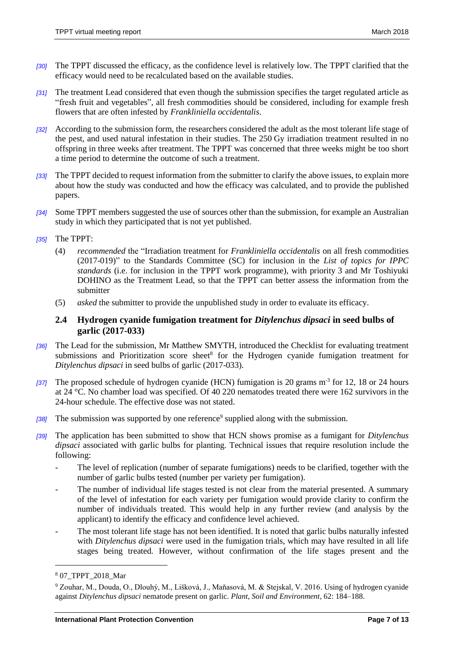- *[30]* The TPPT discussed the efficacy, as the confidence level is relatively low. The TPPT clarified that the efficacy would need to be recalculated based on the available studies.
- *[31]* The treatment Lead considered that even though the submission specifies the target regulated article as "fresh fruit and vegetables", all fresh commodities should be considered, including for example fresh flowers that are often infested by *Frankliniella occidentalis*.
- *[32]* According to the submission form, the researchers considered the adult as the most tolerant life stage of the pest, and used natural infestation in their studies. The 250 Gy irradiation treatment resulted in no offspring in three weeks after treatment. The TPPT was concerned that three weeks might be too short a time period to determine the outcome of such a treatment.
- *[33]* The TPPT decided to request information from the submitter to clarify the above issues, to explain more about how the study was conducted and how the efficacy was calculated, and to provide the published papers.
- *[34]* Some TPPT members suggested the use of sources other than the submission, for example an Australian study in which they participated that is not yet published.
- *[35]* The TPPT:
	- (4) *recommended* the "Irradiation treatment for *Frankliniella occidentalis* on all fresh commodities (2017-019)" to the Standards Committee (SC) for inclusion in the *List of topics for IPPC standards* (i.e. for inclusion in the TPPT work programme), with priority 3 and Mr Toshiyuki DOHINO as the Treatment Lead, so that the TPPT can better assess the information from the submitter
	- (5) *asked* the submitter to provide the unpublished study in order to evaluate its efficacy.

#### <span id="page-6-0"></span>**2.4 Hydrogen cyanide fumigation treatment for** *Ditylenchus dipsaci* **in seed bulbs of garlic (2017-033)**

- *[36]* The Lead for the submission, Mr Matthew SMYTH, introduced the Checklist for evaluating treatment submissions and Prioritization score sheet<sup>8</sup> for the Hydrogen cyanide fumigation treatment for *Ditylenchus dipsaci* in seed bulbs of garlic (2017-033).
- *[37]* The proposed schedule of hydrogen cyanide (HCN) fumigation is 20 grams m-3 for 12, 18 or 24 hours at 24 °C. No chamber load was specified. Of 40 220 nematodes treated there were 162 survivors in the 24-hour schedule. The effective dose was not stated.
- [38] The submission was supported by one reference<sup>9</sup> supplied along with the submission.
- *[39]* The application has been submitted to show that HCN shows promise as a fumigant for *Ditylenchus dipsaci* associated with garlic bulbs for planting. Technical issues that require resolution include the following:
	- The level of replication (number of separate fumigations) needs to be clarified, together with the number of garlic bulbs tested (number per variety per fumigation).
	- The number of individual life stages tested is not clear from the material presented. A summary of the level of infestation for each variety per fumigation would provide clarity to confirm the number of individuals treated. This would help in any further review (and analysis by the applicant) to identify the efficacy and confidence level achieved.
	- The most tolerant life stage has not been identified. It is noted that garlic bulbs naturally infested with *Ditylenchus dipsaci* were used in the fumigation trials, which may have resulted in all life stages being treated*.* However, without confirmation of the life stages present and the

l

<sup>8</sup> 07\_TPPT\_2018\_Mar

<sup>9</sup> Zouhar, M., Douda, O., Dlouhý, M., Lišková, J., Maňasová, M. & Stejskal, V. 2016. Using of hydrogen cyanide against *Ditylenchus dipsaci* nematode present on garlic. *Plant, Soil and Environment*, 62: 184–188.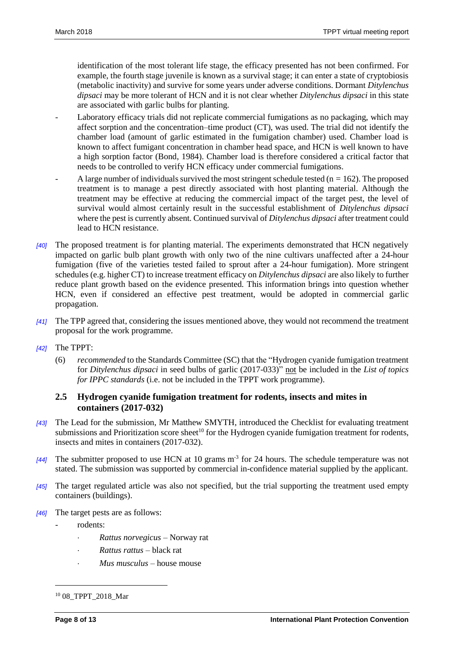identification of the most tolerant life stage, the efficacy presented has not been confirmed*.* For example, the fourth stage juvenile is known as a survival stage; it can enter a state of cryptobiosis (metabolic inactivity) and survive for some years under adverse conditions. Dormant *Ditylenchus dipsaci* may be more tolerant of HCN and it is not clear whether *Ditylenchus dipsaci* in this state are associated with garlic bulbs for planting*.*

- Laboratory efficacy trials did not replicate commercial fumigations as no packaging, which may affect sorption and the concentration–time product (CT), was used. The trial did not identify the chamber load (amount of garlic estimated in the fumigation chamber) used. Chamber load is known to affect fumigant concentration in chamber head space, and HCN is well known to have a high sorption factor (Bond, 1984). Chamber load is therefore considered a critical factor that needs to be controlled to verify HCN efficacy under commercial fumigations.
- A large number of individuals survived the most stringent schedule tested ( $n = 162$ ). The proposed treatment is to manage a pest directly associated with host planting material. Although the treatment may be effective at reducing the commercial impact of the target pest, the level of survival would almost certainly result in the successful establishment of *Ditylenchus dipsaci*  where the pest is currently absent*.* Continued survival of *Ditylenchus dipsaci* after treatment could lead to HCN resistance.
- *[40]* The proposed treatment is for planting material. The experiments demonstrated that HCN negatively impacted on garlic bulb plant growth with only two of the nine cultivars unaffected after a 24-hour fumigation (five of the varieties tested failed to sprout after a 24-hour fumigation). More stringent schedules (e.g. higher CT) to increase treatment efficacy on *Ditylenchus dipsaci* are also likely to further reduce plant growth based on the evidence presented*.* This information brings into question whether HCN, even if considered an effective pest treatment, would be adopted in commercial garlic propagation.
- *[41]* The TPP agreed that, considering the issues mentioned above, they would not recommend the treatment proposal for the work programme.
- *[42]* The TPPT:
	- (6) *recommended* to the Standards Committee (SC) that the "Hydrogen cyanide fumigation treatment for *Ditylenchus dipsaci* in seed bulbs of garlic (2017-033)" not be included in the *List of topics for IPPC standards* (i.e. not be included in the TPPT work programme).

#### <span id="page-7-0"></span>**2.5 Hydrogen cyanide fumigation treatment for rodents, insects and mites in containers (2017-032)**

- *[43]* The Lead for the submission, Mr Matthew SMYTH, introduced the Checklist for evaluating treatment submissions and Prioritization score sheet<sup>10</sup> for the Hydrogen cyanide fumigation treatment for rodents, insects and mites in containers (2017-032).
- [44] The submitter proposed to use HCN at 10 grams m<sup>-3</sup> for 24 hours. The schedule temperature was not stated. The submission was supported by commercial in-confidence material supplied by the applicant.
- *[45]* The target regulated article was also not specified, but the trial supporting the treatment used empty containers (buildings).
- *[46]* The target pests are as follows:
	- rodents:
		- *Rattus norvegicus* Norway rat
		- *Rattus rattus* black rat
		- *Mus musculus* house mouse

 $\overline{a}$ 

<sup>&</sup>lt;sup>10</sup> 08 TPPT 2018 Mar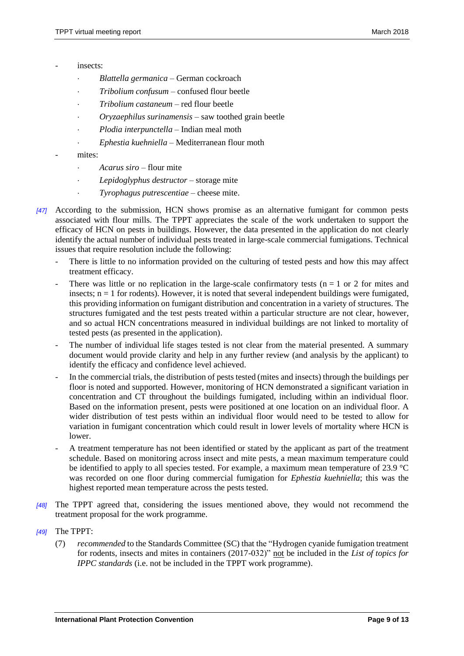- insects<sup>-</sup>
	- *Blattella germanica* German cockroach
	- *Tribolium confusum* confused flour beetle
	- *Tribolium castaneum* red flour beetle
	- *Oryzaephilus surinamensis* saw toothed grain beetle
	- *Plodia interpunctella* Indian meal moth
	- *Ephestia kuehniella* Mediterranean flour moth
	- mites:
		- *Acarus siro* flour mite
		- *Lepidoglyphus destructor* storage mite
		- *Tyrophagus putrescentiae* cheese mite.
- *[47]* According to the submission, HCN shows promise as an alternative fumigant for common pests associated with flour mills. The TPPT appreciates the scale of the work undertaken to support the efficacy of HCN on pests in buildings. However, the data presented in the application do not clearly identify the actual number of individual pests treated in large-scale commercial fumigations. Technical issues that require resolution include the following:
	- There is little to no information provided on the culturing of tested pests and how this may affect treatment efficacy.
	- There was little or no replication in the large-scale confirmatory tests ( $n = 1$  or 2 for mites and insects;  $n = 1$  for rodents). However, it is noted that several independent buildings were fumigated, this providing information on fumigant distribution and concentration in a variety of structures. The structures fumigated and the test pests treated within a particular structure are not clear, however, and so actual HCN concentrations measured in individual buildings are not linked to mortality of tested pests (as presented in the application).
	- The number of individual life stages tested is not clear from the material presented. A summary document would provide clarity and help in any further review (and analysis by the applicant) to identify the efficacy and confidence level achieved.
	- In the commercial trials, the distribution of pests tested (mites and insects) through the buildings per floor is noted and supported. However, monitoring of HCN demonstrated a significant variation in concentration and CT throughout the buildings fumigated, including within an individual floor. Based on the information present, pests were positioned at one location on an individual floor. A wider distribution of test pests within an individual floor would need to be tested to allow for variation in fumigant concentration which could result in lower levels of mortality where HCN is lower.
	- A treatment temperature has not been identified or stated by the applicant as part of the treatment schedule. Based on monitoring across insect and mite pests, a mean maximum temperature could be identified to apply to all species tested. For example, a maximum mean temperature of 23.9 °C was recorded on one floor during commercial fumigation for *Ephestia kuehniella*; this was the highest reported mean temperature across the pests tested.
- *[48]* The TPPT agreed that, considering the issues mentioned above, they would not recommend the treatment proposal for the work programme.
- *[49]* The TPPT:
	- (7) *recommended* to the Standards Committee (SC) that the "Hydrogen cyanide fumigation treatment for rodents, insects and mites in containers (2017-032)" not be included in the *List of topics for IPPC standards* (i.e. not be included in the TPPT work programme).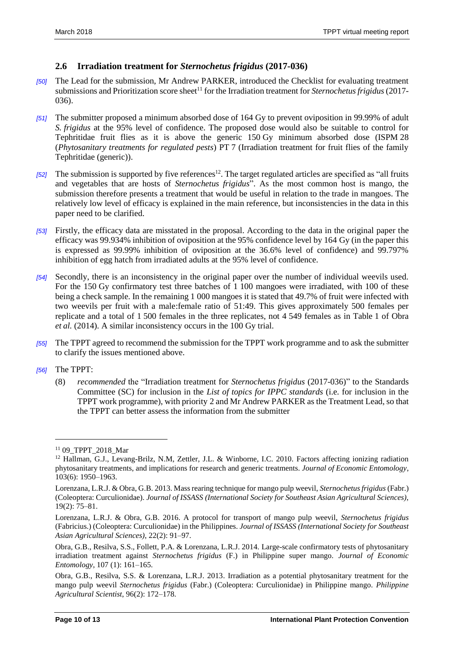#### <span id="page-9-0"></span>**2.6 Irradiation treatment for** *Sternochetus frigidus* **(2017-036)**

- *[50]* The Lead for the submission, Mr Andrew PARKER, introduced the Checklist for evaluating treatment submissions and Prioritization score sheet<sup>11</sup> for the Irradiation treatment for *Sternochetus frigidus* (2017-036).
- *[51]* The submitter proposed a minimum absorbed dose of 164 Gy to prevent oviposition in 99.99% of adult *S. frigidus* at the 95% level of confidence. The proposed dose would also be suitable to control for Tephritidae fruit flies as it is above the generic 150 Gy minimum absorbed dose (ISPM 28 (*Phytosanitary treatments for regulated pests*) PT 7 (Irradiation treatment for fruit flies of the family Tephritidae (generic)).
- [52] The submission is supported by five references<sup>12</sup>. The target regulated articles are specified as "all fruits" and vegetables that are hosts of *Sternochetus frigidus*". As the most common host is mango, the submission therefore presents a treatment that would be useful in relation to the trade in mangoes. The relatively low level of efficacy is explained in the main reference, but inconsistencies in the data in this paper need to be clarified.
- *[53]* Firstly, the efficacy data are misstated in the proposal. According to the data in the original paper the efficacy was 99.934% inhibition of oviposition at the 95% confidence level by 164 Gy (in the paper this is expressed as 99.99% inhibition of oviposition at the 36.6% level of confidence) and 99.797% inhibition of egg hatch from irradiated adults at the 95% level of confidence.
- *[54]* Secondly, there is an inconsistency in the original paper over the number of individual weevils used. For the 150 Gy confirmatory test three batches of 1 100 mangoes were irradiated, with 100 of these being a check sample. In the remaining 1 000 mangoes it is stated that 49.7% of fruit were infected with two weevils per fruit with a male:female ratio of 51:49. This gives approximately 500 females per replicate and a total of 1 500 females in the three replicates, not 4 549 females as in Table 1 of Obra *et al.* (2014). A similar inconsistency occurs in the 100 Gy trial.
- *[55]* The TPPT agreed to recommend the submission for the TPPT work programme and to ask the submitter to clarify the issues mentioned above.
- *[56]* The TPPT:

 $\overline{a}$ 

(8) *recommended* the "Irradiation treatment for *Sternochetus frigidus* (2017-036)" to the Standards Committee (SC) for inclusion in the *List of topics for IPPC standards* (i.e. for inclusion in the TPPT work programme), with priority 2 and Mr Andrew PARKER as the Treatment Lead, so that the TPPT can better assess the information from the submitter

<sup>11</sup> 09\_TPPT\_2018\_Mar

<sup>&</sup>lt;sup>12</sup> Hallman, G.J., Levang-Brilz, N.M. Zettler, J.L. & Winborne, I.C. 2010. Factors affecting ionizing radiation phytosanitary treatments, and implications for research and generic treatments. *Journal of Economic Entomology*, 103(6): 1950–1963.

Lorenzana, L.R.J. & Obra, G.B. 2013. Mass rearing technique for mango pulp weevil, *Sternochetus frigidus* (Fabr.) (Coleoptera: Curculionidae). *Journal of ISSASS (International Society for Southeast Asian Agricultural Sciences)*, 19(2): 75–81.

Lorenzana, L.R.J. & Obra, G.B. 2016. A protocol for transport of mango pulp weevil, *Sternochetus frigidus* (Fabricius.) (Coleoptera: Curculionidae) in the Philippines. *Journal of ISSASS (International Society for Southeast Asian Agricultural Sciences)*, 22(2): 91–97.

Obra, G.B., Resilva, S.S., Follett, P.A. & Lorenzana, L.R.J. 2014. Large-scale confirmatory tests of phytosanitary irradiation treatment against *Sternochetus frigidus* (F.) in Philippine super mango. *Journal of Economic Entomology*, 107 (1): 161–165.

Obra, G.B., Resilva, S.S. & Lorenzana, L.R.J. 2013. Irradiation as a potential phytosanitary treatment for the mango pulp weevil *Sternochetus frigidus* (Fabr.) (Coleoptera: Curculionidae) in Philippine mango. *Philippine Agricultural Scientist*, 96(2): 172–178.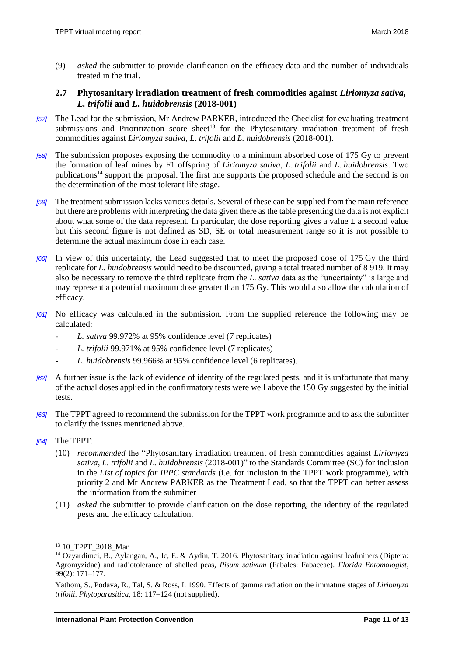(9) *asked* the submitter to provide clarification on the efficacy data and the number of individuals treated in the trial.

#### <span id="page-10-0"></span>**2.7 Phytosanitary irradiation treatment of fresh commodities against** *Liriomyza sativa, L. trifolii* **and** *L. huidobrensis* **(2018-001)**

- *[57]* The Lead for the submission, Mr Andrew PARKER, introduced the Checklist for evaluating treatment submissions and Prioritization score sheet<sup>13</sup> for the Phytosanitary irradiation treatment of fresh commodities against *Liriomyza sativa*, *L. trifolii* and *L. huidobrensis* (2018-001).
- *[58]* The submission proposes exposing the commodity to a minimum absorbed dose of 175 Gy to prevent the formation of leaf mines by F1 offspring of *Liriomyza sativa*, *L. trifolii* and *L. huidobrensis*. Two publications<sup>14</sup> support the proposal. The first one supports the proposed schedule and the second is on the determination of the most tolerant life stage.
- *[59]* The treatment submission lacks various details. Several of these can be supplied from the main reference but there are problems with interpreting the data given there as the table presenting the data is not explicit about what some of the data represent. In particular, the dose reporting gives a value  $\pm$  a second value but this second figure is not defined as SD, SE or total measurement range so it is not possible to determine the actual maximum dose in each case.
- *[60]* In view of this uncertainty, the Lead suggested that to meet the proposed dose of 175 Gy the third replicate for *L. huidobrensis* would need to be discounted, giving a total treated number of 8 919. It may also be necessary to remove the third replicate from the *L. sativa* data as the "uncertainty" is large and may represent a potential maximum dose greater than 175 Gy. This would also allow the calculation of efficacy.
- *[61]* No efficacy was calculated in the submission. From the supplied reference the following may be calculated:
	- *L. sativa* 99.972% at 95% confidence level (7 replicates)
	- *L. trifolii* 99.971% at 95% confidence level (7 replicates)
	- *L. huidobrensis* 99.966% at 95% confidence level (6 replicates).
- *[62]* A further issue is the lack of evidence of identity of the regulated pests, and it is unfortunate that many of the actual doses applied in the confirmatory tests were well above the 150 Gy suggested by the initial tests.
- *[63]* The TPPT agreed to recommend the submission for the TPPT work programme and to ask the submitter to clarify the issues mentioned above.
- *[64]* The TPPT:

l

- (10) *recommended* the "Phytosanitary irradiation treatment of fresh commodities against *Liriomyza sativa*, *L. trifolii* and *L. huidobrensis* (2018-001)" to the Standards Committee (SC) for inclusion in the *List of topics for IPPC standards* (i.e. for inclusion in the TPPT work programme), with priority 2 and Mr Andrew PARKER as the Treatment Lead, so that the TPPT can better assess the information from the submitter
- (11) *asked* the submitter to provide clarification on the dose reporting, the identity of the regulated pests and the efficacy calculation.

<sup>13</sup> 10\_TPPT\_2018\_Mar

<sup>14</sup> Ozyardimci, B., Aylangan, A., Ic, E. & Aydin, T. 2016. Phytosanitary irradiation against leafminers (Diptera: Agromyzidae) and radiotolerance of shelled peas, *Pisum sativum* (Fabales: Fabaceae). *Florida Entomologist*, 99(2): 171–177.

Yathom, S., Podava, R., Tal, S. & Ross, I. 1990. Effects of gamma radiation on the immature stages of *Liriomyza trifolii*. *Phytoparasitica*, 18: 117–124 (not supplied).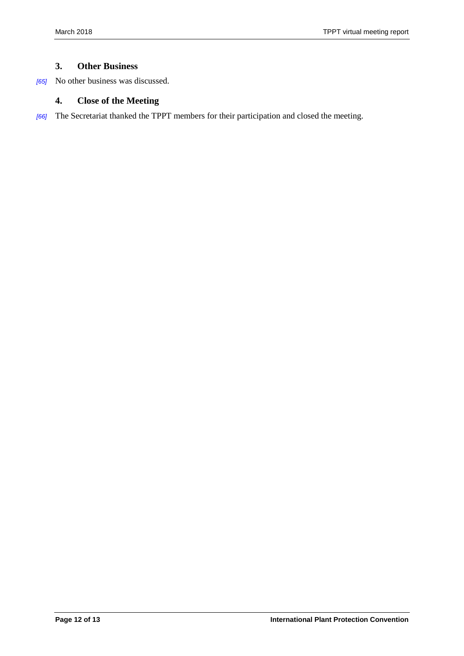#### <span id="page-11-0"></span>**3. Other Business**

*[65]* No other business was discussed.

#### <span id="page-11-1"></span>**4. Close of the Meeting**

*[66]* The Secretariat thanked the TPPT members for their participation and closed the meeting.